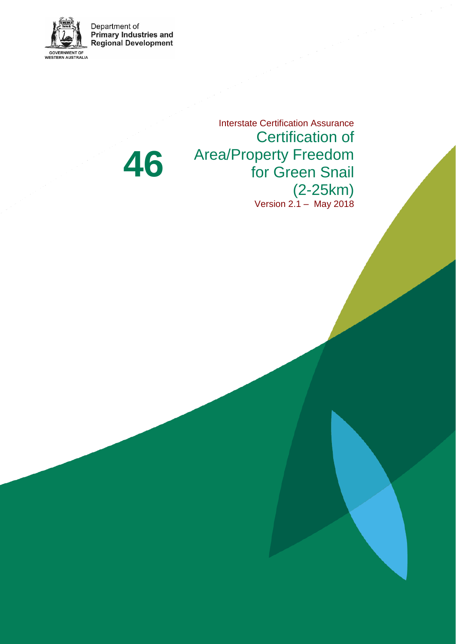Department of<br>Primary Industries and<br>Regional Development

**46**



Certification of Area/Property Freedom for Green Snail

(2-25km) Version 2.1 – May 2018

Interstate Certification Assurance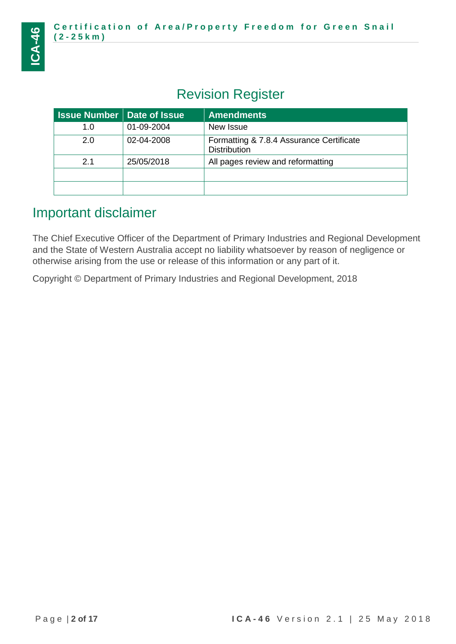# Revision Register

| <b>Issue Number   Date of Issue</b> |            | <b>Amendments</b>                                               |
|-------------------------------------|------------|-----------------------------------------------------------------|
| 1.0                                 | 01-09-2004 | New Issue                                                       |
| 2.0                                 | 02-04-2008 | Formatting & 7.8.4 Assurance Certificate<br><b>Distribution</b> |
| 2.1                                 | 25/05/2018 | All pages review and reformatting                               |
|                                     |            |                                                                 |
|                                     |            |                                                                 |

# Important disclaimer

The Chief Executive Officer of the Department of Primary Industries and Regional Development and the State of Western Australia accept no liability whatsoever by reason of negligence or otherwise arising from the use or release of this information or any part of it.

Copyright © Department of Primary Industries and Regional Development, 2018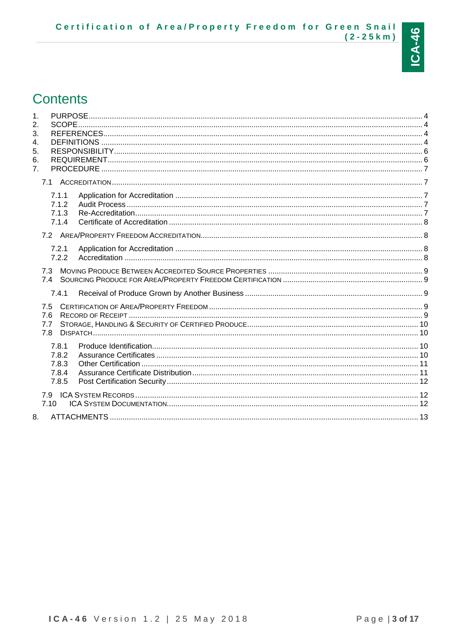# **Contents**

<span id="page-2-0"></span>

| $\mathbf 1$ .<br>2.<br>3.<br>4.<br>5.<br>6.<br>7 <sub>1</sub><br><b>PROCEDURE</b> |  |
|-----------------------------------------------------------------------------------|--|
|                                                                                   |  |
| 7.1.1<br>7.1.2<br>7.1.3<br>7.1.4                                                  |  |
|                                                                                   |  |
| 7.2.1<br>7.2.2                                                                    |  |
| 7.3<br>74                                                                         |  |
| 7.4.1                                                                             |  |
| 7.5<br>7.6<br>7.7<br>7.8                                                          |  |
| 7.8.1<br>7.8.2<br>7.8.3<br>7.8.4<br>7.8.5                                         |  |
| 7.10                                                                              |  |
| 8.                                                                                |  |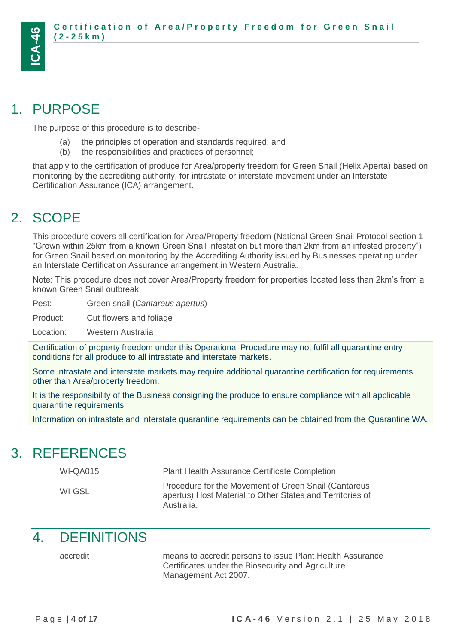

# 1. PURPOSE

The purpose of this procedure is to describe-

- (a) the principles of operation and standards required; and
- (b) the responsibilities and practices of personnel;

that apply to the certification of produce for Area/property freedom for Green Snail (Helix Aperta) based on monitoring by the accrediting authority, for intrastate or interstate movement under an Interstate Certification Assurance (ICA) arrangement.

# <span id="page-3-0"></span>2. SCOPE

This procedure covers all certification for Area/Property freedom (National Green Snail Protocol section 1 "Grown within 25km from a known Green Snail infestation but more than 2km from an infested property") for Green Snail based on monitoring by the Accrediting Authority issued by Businesses operating under an Interstate Certification Assurance arrangement in Western Australia.

Note: This procedure does not cover Area/Property freedom for properties located less than 2km's from a known Green Snail outbreak.

Pest: Green snail (*Cantareus apertus*)

Product: Cut flowers and foliage

Location: Western Australia

Certification of property freedom under this Operational Procedure may not fulfil all quarantine entry conditions for all produce to all intrastate and interstate markets.

Some intrastate and interstate markets may require additional quarantine certification for requirements other than Area/property freedom.

It is the responsibility of the Business consigning the produce to ensure compliance with all applicable quarantine requirements.

<span id="page-3-1"></span>Information on intrastate and interstate quarantine requirements can be obtained from the Quarantine WA.

# 3. REFERENCES

WI-QA015 Plant Health Assurance Certificate Completion

| WI-GSL | Procedure for the Movement of Green Snail (Cantareus      |
|--------|-----------------------------------------------------------|
|        | apertus) Host Material to Other States and Territories of |
|        | Australia.                                                |

# <span id="page-3-2"></span>4. DEFINITIONS

accredit means to accredit persons to issue Plant Health Assurance Certificates under the Biosecurity and Agriculture Management Act 2007.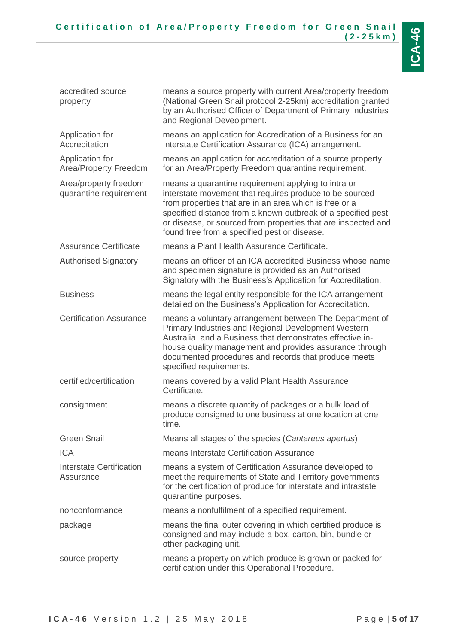| accredited source<br>property                   | means a source property with current Area/property freedom<br>(National Green Snail protocol 2-25km) accreditation granted<br>by an Authorised Officer of Department of Primary Industries<br>and Regional Deveolpment.                                                                                                                                   |
|-------------------------------------------------|-----------------------------------------------------------------------------------------------------------------------------------------------------------------------------------------------------------------------------------------------------------------------------------------------------------------------------------------------------------|
| Application for<br>Accreditation                | means an application for Accreditation of a Business for an<br>Interstate Certification Assurance (ICA) arrangement.                                                                                                                                                                                                                                      |
| Application for<br>Area/Property Freedom        | means an application for accreditation of a source property<br>for an Area/Property Freedom quarantine requirement.                                                                                                                                                                                                                                       |
| Area/property freedom<br>quarantine requirement | means a quarantine requirement applying to intra or<br>interstate movement that requires produce to be sourced<br>from properties that are in an area which is free or a<br>specified distance from a known outbreak of a specified pest<br>or disease, or sourced from properties that are inspected and<br>found free from a specified pest or disease. |
| <b>Assurance Certificate</b>                    | means a Plant Health Assurance Certificate.                                                                                                                                                                                                                                                                                                               |
| <b>Authorised Signatory</b>                     | means an officer of an ICA accredited Business whose name<br>and specimen signature is provided as an Authorised<br>Signatory with the Business's Application for Accreditation.                                                                                                                                                                          |
| <b>Business</b>                                 | means the legal entity responsible for the ICA arrangement<br>detailed on the Business's Application for Accreditation.                                                                                                                                                                                                                                   |
| <b>Certification Assurance</b>                  | means a voluntary arrangement between The Department of<br>Primary Industries and Regional Development Western<br>Australia and a Business that demonstrates effective in-<br>house quality management and provides assurance through<br>documented procedures and records that produce meets<br>specified requirements.                                  |
| certified/certification                         | means covered by a valid Plant Health Assurance<br>Certificate.                                                                                                                                                                                                                                                                                           |
| consignment                                     | means a discrete quantity of packages or a bulk load of<br>produce consigned to one business at one location at one<br>time.                                                                                                                                                                                                                              |
| <b>Green Snail</b>                              | Means all stages of the species (Cantareus apertus)                                                                                                                                                                                                                                                                                                       |
| <b>ICA</b>                                      | means Interstate Certification Assurance                                                                                                                                                                                                                                                                                                                  |
| Interstate Certification<br>Assurance           | means a system of Certification Assurance developed to<br>meet the requirements of State and Territory governments<br>for the certification of produce for interstate and intrastate<br>quarantine purposes.                                                                                                                                              |
| nonconformance                                  | means a nonfulfilment of a specified requirement.                                                                                                                                                                                                                                                                                                         |
| package                                         | means the final outer covering in which certified produce is<br>consigned and may include a box, carton, bin, bundle or<br>other packaging unit.                                                                                                                                                                                                          |
| source property                                 | means a property on which produce is grown or packed for<br>certification under this Operational Procedure.                                                                                                                                                                                                                                               |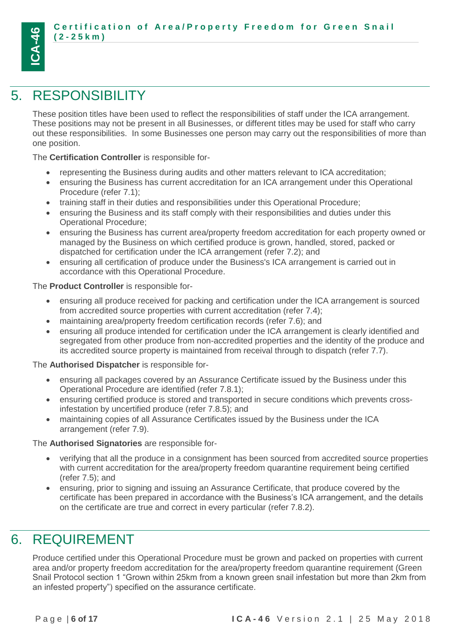# <span id="page-5-0"></span>5. RESPONSIBILITY

**ICA-46**

These position titles have been used to reflect the responsibilities of staff under the ICA arrangement. These positions may not be present in all Businesses, or different titles may be used for staff who carry out these responsibilities. In some Businesses one person may carry out the responsibilities of more than one position.

The **Certification Controller** is responsible for-

- representing the Business during audits and other matters relevant to ICA accreditation;
- ensuring the Business has current accreditation for an ICA arrangement under this Operational Procedure (refer 7.1);
- training staff in their duties and responsibilities under this Operational Procedure;
- ensuring the Business and its staff comply with their responsibilities and duties under this Operational Procedure;
- ensuring the Business has current area/property freedom accreditation for each property owned or managed by the Business on which certified produce is grown, handled, stored, packed or dispatched for certification under the ICA arrangement (refer 7.2); and
- ensuring all certification of produce under the Business's ICA arrangement is carried out in accordance with this Operational Procedure.

The **Product Controller** is responsible for-

- ensuring all produce received for packing and certification under the ICA arrangement is sourced from accredited source properties with current accreditation (refer 7.4);
- maintaining area/property freedom certification records (refer 7.6); and
- ensuring all produce intended for certification under the ICA arrangement is clearly identified and segregated from other produce from non-accredited properties and the identity of the produce and its accredited source property is maintained from receival through to dispatch (refer 7.7).

The **Authorised Dispatcher** is responsible for-

- ensuring all packages covered by an Assurance Certificate issued by the Business under this Operational Procedure are identified (refer 7.8.1);
- ensuring certified produce is stored and transported in secure conditions which prevents crossinfestation by uncertified produce (refer 7.8.5); and
- maintaining copies of all Assurance Certificates issued by the Business under the ICA arrangement (refer 7.9).

The **Authorised Signatories** are responsible for-

- verifying that all the produce in a consignment has been sourced from accredited source properties with current accreditation for the area/property freedom quarantine requirement being certified (refer 7.5); and
- ensuring, prior to signing and issuing an Assurance Certificate, that produce covered by the certificate has been prepared in accordance with the Business's ICA arrangement, and the details on the certificate are true and correct in every particular (refer 7.8.2).

# <span id="page-5-1"></span>6. REQUIREMENT

Produce certified under this Operational Procedure must be grown and packed on properties with current area and/or property freedom accreditation for the area/property freedom quarantine requirement (Green Snail Protocol section 1 "Grown within 25km from a known green snail infestation but more than 2km from an infested property") specified on the assurance certificate.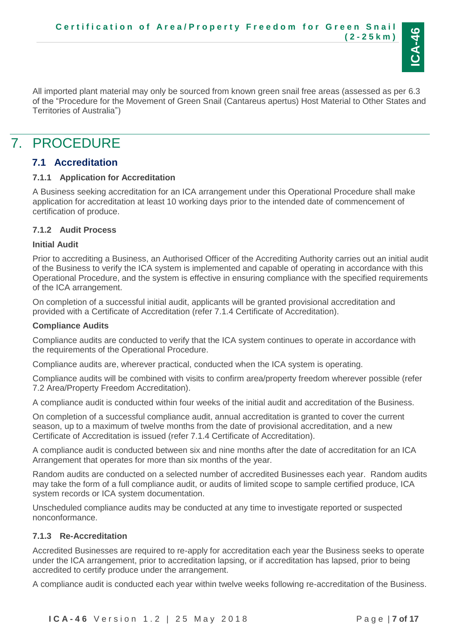

All imported plant material may only be sourced from known green snail free areas (assessed as per 6.3 of the "Procedure for the Movement of Green Snail (Cantareus apertus) Host Material to Other States and Territories of Australia")

# <span id="page-6-0"></span>7. PROCEDURE

## <span id="page-6-1"></span>**7.1 Accreditation**

#### <span id="page-6-2"></span>**7.1.1 Application for Accreditation**

A Business seeking accreditation for an ICA arrangement under this Operational Procedure shall make application for accreditation at least 10 working days prior to the intended date of commencement of certification of produce.

### <span id="page-6-3"></span>**7.1.2 Audit Process**

#### **Initial Audit**

Prior to accrediting a Business, an Authorised Officer of the Accrediting Authority carries out an initial audit of the Business to verify the ICA system is implemented and capable of operating in accordance with this Operational Procedure, and the system is effective in ensuring compliance with the specified requirements of the ICA arrangement.

On completion of a successful initial audit, applicants will be granted provisional accreditation and provided with a Certificate of Accreditation (refer 7.1.4 Certificate of Accreditation).

#### **Compliance Audits**

Compliance audits are conducted to verify that the ICA system continues to operate in accordance with the requirements of the Operational Procedure.

Compliance audits are, wherever practical, conducted when the ICA system is operating.

Compliance audits will be combined with visits to confirm area/property freedom wherever possible (refer 7.2 Area/Property Freedom Accreditation).

A compliance audit is conducted within four weeks of the initial audit and accreditation of the Business.

On completion of a successful compliance audit, annual accreditation is granted to cover the current season, up to a maximum of twelve months from the date of provisional accreditation, and a new Certificate of Accreditation is issued (refer 7.1.4 Certificate of Accreditation).

A compliance audit is conducted between six and nine months after the date of accreditation for an ICA Arrangement that operates for more than six months of the year.

Random audits are conducted on a selected number of accredited Businesses each year. Random audits may take the form of a full compliance audit, or audits of limited scope to sample certified produce, ICA system records or ICA system documentation.

Unscheduled compliance audits may be conducted at any time to investigate reported or suspected nonconformance.

### <span id="page-6-4"></span>**7.1.3 Re-Accreditation**

Accredited Businesses are required to re-apply for accreditation each year the Business seeks to operate under the ICA arrangement, prior to accreditation lapsing, or if accreditation has lapsed, prior to being accredited to certify produce under the arrangement.

A compliance audit is conducted each year within twelve weeks following re-accreditation of the Business.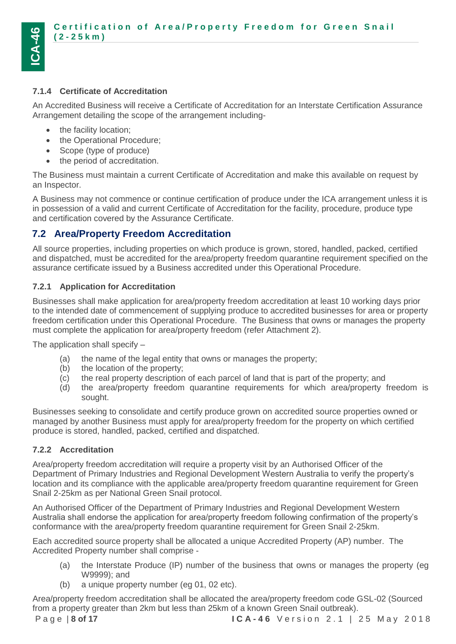

### <span id="page-7-0"></span>**7.1.4 Certificate of Accreditation**

An Accredited Business will receive a Certificate of Accreditation for an Interstate Certification Assurance Arrangement detailing the scope of the arrangement including-

- the facility location;
- the Operational Procedure;
- Scope (type of produce)
- the period of accreditation.

The Business must maintain a current Certificate of Accreditation and make this available on request by an Inspector.

A Business may not commence or continue certification of produce under the ICA arrangement unless it is in possession of a valid and current Certificate of Accreditation for the facility, procedure, produce type and certification covered by the Assurance Certificate.

# <span id="page-7-1"></span>**7.2 Area/Property Freedom Accreditation**

All source properties, including properties on which produce is grown, stored, handled, packed, certified and dispatched, must be accredited for the area/property freedom quarantine requirement specified on the assurance certificate issued by a Business accredited under this Operational Procedure.

### <span id="page-7-2"></span>**7.2.1 Application for Accreditation**

Businesses shall make application for area/property freedom accreditation at least 10 working days prior to the intended date of commencement of supplying produce to accredited businesses for area or property freedom certification under this Operational Procedure. The Business that owns or manages the property must complete the application for area/property freedom (refer Attachment 2).

The application shall specify –

- (a) the name of the legal entity that owns or manages the property;
- (b) the location of the property;
- (c) the real property description of each parcel of land that is part of the property; and
- (d) the area/property freedom quarantine requirements for which area/property freedom is sought.

Businesses seeking to consolidate and certify produce grown on accredited source properties owned or managed by another Business must apply for area/property freedom for the property on which certified produce is stored, handled, packed, certified and dispatched.

### <span id="page-7-3"></span>**7.2.2 Accreditation**

Area/property freedom accreditation will require a property visit by an Authorised Officer of the Department of Primary Industries and Regional Development Western Australia to verify the property's location and its compliance with the applicable area/property freedom quarantine requirement for Green Snail 2-25km as per National Green Snail protocol.

An Authorised Officer of the Department of Primary Industries and Regional Development Western Australia shall endorse the application for area/property freedom following confirmation of the property's conformance with the area/property freedom quarantine requirement for Green Snail 2-25km.

Each accredited source property shall be allocated a unique Accredited Property (AP) number. The Accredited Property number shall comprise -

- (a) the Interstate Produce (IP) number of the business that owns or manages the property (eg W9999); and
- (b) a unique property number (eg 01, 02 etc).

Area/property freedom accreditation shall be allocated the area/property freedom code GSL-02 (Sourced from a property greater than 2km but less than 25km of a known Green Snail outbreak).

P a g e | **8 of 17 I C A - 4 6** V e r s i o n 2 . 1 | 2 5 M a y 2 0 1 8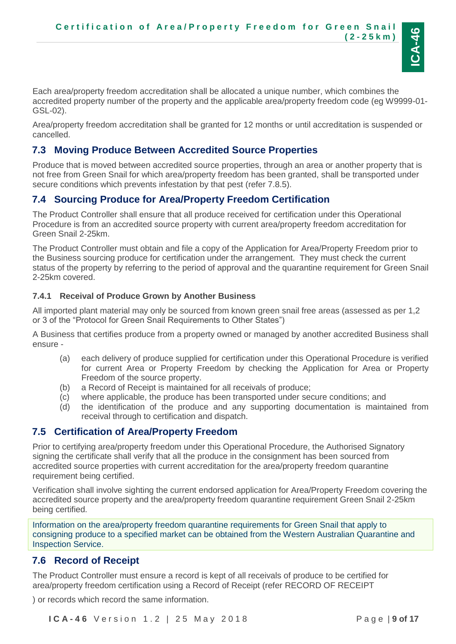

Each area/property freedom accreditation shall be allocated a unique number, which combines the accredited property number of the property and the applicable area/property freedom code (eg W9999-01- GSL-02).

Area/property freedom accreditation shall be granted for 12 months or until accreditation is suspended or cancelled.

# <span id="page-8-0"></span>**7.3 Moving Produce Between Accredited Source Properties**

Produce that is moved between accredited source properties, through an area or another property that is not free from Green Snail for which area/property freedom has been granted, shall be transported under secure conditions which prevents infestation by that pest (refer 7.8.5).

# <span id="page-8-1"></span>**7.4 Sourcing Produce for Area/Property Freedom Certification**

The Product Controller shall ensure that all produce received for certification under this Operational Procedure is from an accredited source property with current area/property freedom accreditation for Green Snail 2-25km.

The Product Controller must obtain and file a copy of the Application for Area/Property Freedom prior to the Business sourcing produce for certification under the arrangement. They must check the current status of the property by referring to the period of approval and the quarantine requirement for Green Snail 2-25km covered.

### <span id="page-8-2"></span>**7.4.1 Receival of Produce Grown by Another Business**

All imported plant material may only be sourced from known green snail free areas (assessed as per 1,2 or 3 of the "Protocol for Green Snail Requirements to Other States")

A Business that certifies produce from a property owned or managed by another accredited Business shall ensure -

- (a) each delivery of produce supplied for certification under this Operational Procedure is verified for current Area or Property Freedom by checking the Application for Area or Property Freedom of the source property.
- (b) a Record of Receipt is maintained for all receivals of produce;
- (c) where applicable, the produce has been transported under secure conditions; and
- (d) the identification of the produce and any supporting documentation is maintained from receival through to certification and dispatch.

## <span id="page-8-3"></span>**7.5 Certification of Area/Property Freedom**

Prior to certifying area/property freedom under this Operational Procedure, the Authorised Signatory signing the certificate shall verify that all the produce in the consignment has been sourced from accredited source properties with current accreditation for the area/property freedom quarantine requirement being certified.

Verification shall involve sighting the current endorsed application for Area/Property Freedom covering the accredited source property and the area/property freedom quarantine requirement Green Snail 2-25km being certified.

Information on the area/property freedom quarantine requirements for Green Snail that apply to consigning produce to a specified market can be obtained from the Western Australian Quarantine and Inspection Service.

## <span id="page-8-4"></span>**7.6 Record of Receipt**

The Product Controller must ensure a record is kept of all receivals of produce to be certified for area/property freedom certification using a Record of Receipt (refer [RECORD OF RECEIPT](#page-15-0)

) or records which record the same information.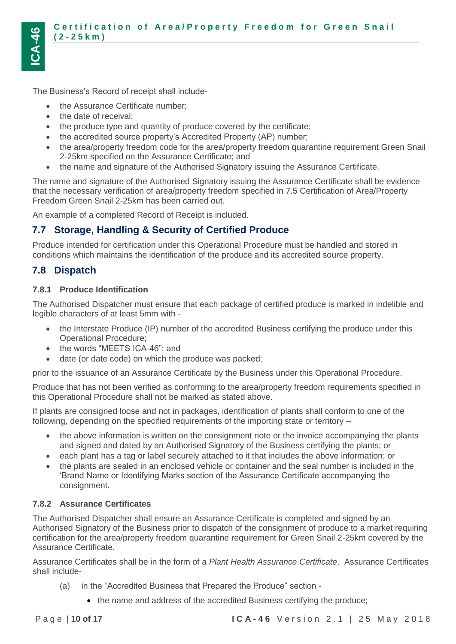The Business's Record of receipt shall include-

- the Assurance Certificate number;
- the date of receival:
- the produce type and quantity of produce covered by the certificate;
- the accredited source property's Accredited Property (AP) number;
- the area/property freedom code for the area/property freedom quarantine requirement Green Snail 2-25km specified on the Assurance Certificate; and
- the name and signature of the Authorised Signatory issuing the Assurance Certificate.

The name and signature of the Authorised Signatory issuing the Assurance Certificate shall be evidence that the necessary verification of area/property freedom specified in 7.5 Certification of Area/Property Freedom Green Snail 2-25km has been carried out.

An example of a completed Record of Receipt is included.

# <span id="page-9-0"></span>**7.7 Storage, Handling & Security of Certified Produce**

Produce intended for certification under this Operational Procedure must be handled and stored in conditions which maintains the identification of the produce and its accredited source property.

# <span id="page-9-1"></span>**7.8 Dispatch**

### <span id="page-9-2"></span>**7.8.1 Produce Identification**

The Authorised Dispatcher must ensure that each package of certified produce is marked in indelible and legible characters of at least 5mm with -

- the Interstate Produce (IP) number of the accredited Business certifying the produce under this Operational Procedure;
- the words "MEETS ICA-46": and
- date (or date code) on which the produce was packed;

prior to the issuance of an Assurance Certificate by the Business under this Operational Procedure.

Produce that has not been verified as conforming to the area/property freedom requirements specified in this Operational Procedure shall not be marked as stated above.

If plants are consigned loose and not in packages, identification of plants shall conform to one of the following, depending on the specified requirements of the importing state or territory –

- the above information is written on the consignment note or the invoice accompanying the plants and signed and dated by an Authorised Signatory of the Business certifying the plants; or
- each plant has a tag or label securely attached to it that includes the above information; or
- the plants are sealed in an enclosed vehicle or container and the seal number is included in the 'Brand Name or Identifying Marks section of the Assurance Certificate accompanying the consignment.

### <span id="page-9-3"></span>**7.8.2 Assurance Certificates**

The Authorised Dispatcher shall ensure an Assurance Certificate is completed and signed by an Authorised Signatory of the Business prior to dispatch of the consignment of produce to a market requiring certification for the area/property freedom quarantine requirement for Green Snail 2-25km covered by the Assurance Certificate.

Assurance Certificates shall be in the form of a *Plant Health Assurance Certificate*. Assurance Certificates shall include-

- (a) in the "Accredited Business that Prepared the Produce" section
	- the name and address of the accredited Business certifying the produce;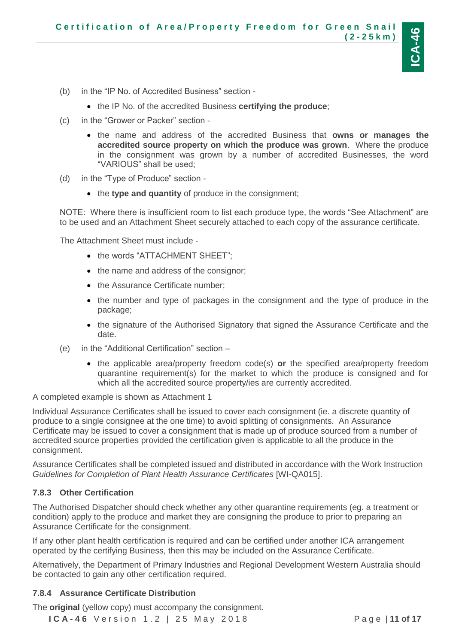

- (b) in the "IP No. of Accredited Business" section
	- the IP No. of the accredited Business **certifying the produce**;
- (c) in the "Grower or Packer" section
	- the name and address of the accredited Business that **owns or manages the accredited source property on which the produce was grown**. Where the produce in the consignment was grown by a number of accredited Businesses, the word "VARIOUS" shall be used;
- (d) in the "Type of Produce" section
	- the **type and quantity** of produce in the consignment;

NOTE: Where there is insufficient room to list each produce type, the words "See Attachment" are to be used and an Attachment Sheet securely attached to each copy of the assurance certificate.

The Attachment Sheet must include -

- the words "ATTACHMENT SHEET";
- the name and address of the consignor;
- the Assurance Certificate number;
- the number and type of packages in the consignment and the type of produce in the package;
- the signature of the Authorised Signatory that signed the Assurance Certificate and the date.
- (e) in the "Additional Certification" section
	- the applicable area/property freedom code(s) **or** the specified area/property freedom quarantine requirement(s) for the market to which the produce is consigned and for which all the accredited source property/ies are currently accredited.

A completed example is shown as Attachment 1

Individual Assurance Certificates shall be issued to cover each consignment (ie. a discrete quantity of produce to a single consignee at the one time) to avoid splitting of consignments. An Assurance Certificate may be issued to cover a consignment that is made up of produce sourced from a number of accredited source properties provided the certification given is applicable to all the produce in the consignment.

Assurance Certificates shall be completed issued and distributed in accordance with the Work Instruction *Guidelines for Completion of Plant Health Assurance Certificates* [WI-QA015].

#### <span id="page-10-0"></span>**7.8.3 Other Certification**

The Authorised Dispatcher should check whether any other quarantine requirements (eg. a treatment or condition) apply to the produce and market they are consigning the produce to prior to preparing an Assurance Certificate for the consignment.

If any other plant health certification is required and can be certified under another ICA arrangement operated by the certifying Business, then this may be included on the Assurance Certificate.

Alternatively, the Department of Primary Industries and Regional Development Western Australia should be contacted to gain any other certification required.

#### <span id="page-10-1"></span>**7.8.4 Assurance Certificate Distribution**

The **original** (yellow copy) must accompany the consignment.

**I C A - 4 6** V e r s i o n 1 . 2 | 2 5 M a y 2 0 1 8 P a g e | **11 of 17**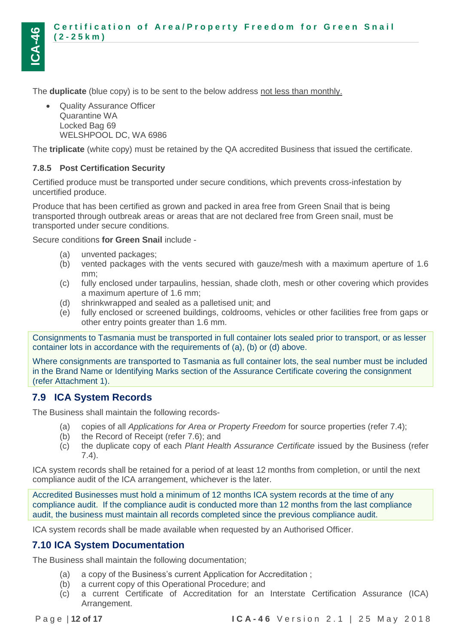

The **duplicate** (blue copy) is to be sent to the below address not less than monthly.

 Quality Assurance Officer Quarantine WA Locked Bag 69 WELSHPOOL DC, WA 6986

The **triplicate** (white copy) must be retained by the QA accredited Business that issued the certificate.

#### <span id="page-11-0"></span>**7.8.5 Post Certification Security**

Certified produce must be transported under secure conditions, which prevents cross-infestation by uncertified produce.

Produce that has been certified as grown and packed in area free from Green Snail that is being transported through outbreak areas or areas that are not declared free from Green snail, must be transported under secure conditions.

Secure conditions **for Green Snail** include -

- (a) unvented packages;
- (b) vented packages with the vents secured with gauze/mesh with a maximum aperture of 1.6 mm;
- (c) fully enclosed under tarpaulins, hessian, shade cloth, mesh or other covering which provides a maximum aperture of 1.6 mm;
- (d) shrinkwrapped and sealed as a palletised unit; and
- (e) fully enclosed or screened buildings, coldrooms, vehicles or other facilities free from gaps or other entry points greater than 1.6 mm.

Consignments to Tasmania must be transported in full container lots sealed prior to transport, or as lesser container lots in accordance with the requirements of (a), (b) or (d) above.

Where consignments are transported to Tasmania as full container lots, the seal number must be included in the Brand Name or Identifying Marks section of the Assurance Certificate covering the consignment (refer Attachment 1).

## <span id="page-11-1"></span>**7.9 ICA System Records**

The Business shall maintain the following records-

- (a) copies of all *Applications for Area or Property Freedom* for source properties (refer 7.4);
- (b) the Record of Receipt (refer 7.6); and
- (c) the duplicate copy of each *Plant Health Assurance Certificate* issued by the Business (refer 7.4).

ICA system records shall be retained for a period of at least 12 months from completion, or until the next compliance audit of the ICA arrangement, whichever is the later.

Accredited Businesses must hold a minimum of 12 months ICA system records at the time of any compliance audit. If the compliance audit is conducted more than 12 months from the last compliance audit, the business must maintain all records completed since the previous compliance audit.

ICA system records shall be made available when requested by an Authorised Officer.

### <span id="page-11-2"></span>**7.10 ICA System Documentation**

The Business shall maintain the following documentation;

- (a) a copy of the Business's current Application for Accreditation ;
- (b) a current copy of this Operational Procedure; and
- (c) a current Certificate of Accreditation for an Interstate Certification Assurance (ICA) Arrangement.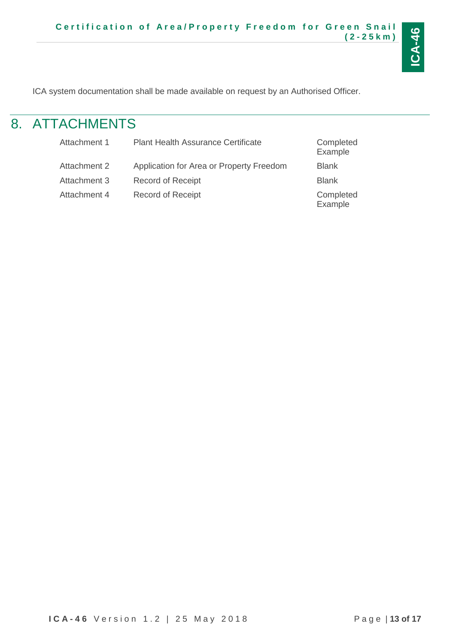

<span id="page-12-0"></span>ICA system documentation shall be made available on request by an Authorised Officer.

# 8. ATTACHMENTS

| Attachment 1 | <b>Plant Health Assurance Certificate</b> | Completed<br>Example |
|--------------|-------------------------------------------|----------------------|
| Attachment 2 | Application for Area or Property Freedom  | <b>Blank</b>         |
| Attachment 3 | <b>Record of Receipt</b>                  | <b>Blank</b>         |
| Attachment 4 | <b>Record of Receipt</b>                  | Completed<br>Example |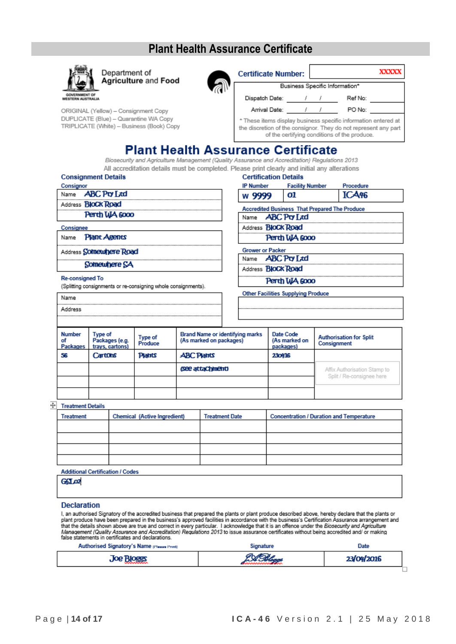# **Plant Health Assurance Certificate**



Department of **Agriculture and Food** 



Business Specific Information\*  $\prime$ 

 $\prime$ 

**Facility Number** 

**Sing Depisco That Departure Development** 

01

**Certificate Number:** 

Dispatch Date: Arrival Date:

Ref No:

Procedure ICA<sub>46</sub>

PO No:

\* These items display business specific information entered at the discretion of the consignor. They do not represent any part of the certifying conditions of the produce.

 $\sqrt{2}$ 

 $\prime$ 

# **Plant Health Assurance Certificate**

Biosecurity and Agriculture Management (Quality Assurance and Accreditation) Regulations 2013 All accreditation details must be completed. Please print clearly and initial any alterations **Certification Details** 

**IP Number** 

w 9999

| <b>Consignment Details</b> |  |  |  |
|----------------------------|--|--|--|
| Consignor                  |  |  |  |
| Name <b>ABC</b> Pry Ltd    |  |  |  |
| Address <b>BIOCK Road</b>  |  |  |  |
| Perth WA 6000              |  |  |  |
| Consignee                  |  |  |  |
|                            |  |  |  |

ORIGINAL (Yellow) - Consignment Copy DUPLICATE (Blue) - Quarantine WA Copy

TRIPLICATE (White) - Business (Book) Copy

Name Plant Agents

 $\Box$ 

Address Somewhere Road

Somewhere SA

**Re-consigned To** 

(Splitting consignments or re-consigning whole consignments).

| Accredited Dusiness That Frepared The Frounce |
|-----------------------------------------------|
| Name <b>ABC Pty Ltd</b>                       |
| Address <b>BloCk Road</b>                     |
| Perth WA 6000                                 |
| <b>Grower or Packer</b>                       |
| Name <b>ABC</b> Pro Ltd                       |
| Address <b>BloCk Road</b>                     |
|                                               |
| Perth WA 6000                                 |

**Other Facilities Supplying Produce** 

| <b>Number</b> |         | Type of | Tvpe of | <b>Brand Name or identifying</b><br>. |  |
|---------------|---------|---------|---------|---------------------------------------|--|
|               |         |         |         |                                       |  |
|               | Address |         |         |                                       |  |
|               | i Name  |         |         |                                       |  |

| <b>Number</b><br>οf<br><b>Packages</b> | Type of<br>Packages (e.g.<br>trays, cartons) | Type of<br>Produce | <b>Brand Name or identifying marks</b><br>(As marked on packages) | Date Code<br>(As marked on<br>packages) | <b>Authorisation for Split</b><br>Consignment |
|----------------------------------------|----------------------------------------------|--------------------|-------------------------------------------------------------------|-----------------------------------------|-----------------------------------------------|
| 56                                     | Cartons                                      | Plants             | <b>ABC Plants</b>                                                 | 230416                                  |                                               |
|                                        |                                              |                    | (See attaChinent)                                                 |                                         | Affix Authorisation Stamp to                  |
|                                        |                                              |                    |                                                                   |                                         | Split / Re-consignee here                     |
|                                        |                                              |                    |                                                                   |                                         |                                               |

#### $\overline{\div}$  Treatment Details

| Treatment | <b>Chemical (Active Ingredient)</b> | <b>Treatment Date</b> | <b>Concentration / Duration and Temperature</b> |
|-----------|-------------------------------------|-----------------------|-------------------------------------------------|
|           |                                     |                       |                                                 |
|           |                                     |                       |                                                 |
|           |                                     |                       |                                                 |
|           |                                     |                       |                                                 |

**Additional Certification / Codes** 

G6L02

#### **Declaration**

I, an authorised Signatory of the accredited business that prepared the plants or plant produce described above, hereby declare that the plants or I, an authorised Signatory of the accredited business that prepared the plants or plant produce described above, hereby declare that the plants or<br>plant produce have been prepared in the business's approved facilities in a

| Authorised Signatory's Name presse Print | Signature | Date       |  |
|------------------------------------------|-----------|------------|--|
| <b>Joe Bloggs</b>                        | PABLE     | 23/04/2016 |  |
|                                          |           |            |  |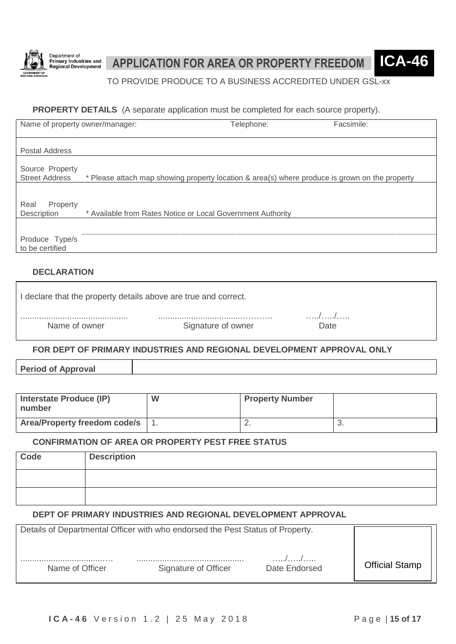

# **APPLICATION FOR AREA OR PROPERTY FREEDOM ICA-46**

TO PROVIDE PRODUCE TO A BUSINESS ACCREDITED UNDER GSL-xx

#### **PROPERTY DETAILS** (A separate application must be completed for each source property).

| Name of property owner/manager:          |                                                                                                | Telephone: | Facsimile: |
|------------------------------------------|------------------------------------------------------------------------------------------------|------------|------------|
|                                          |                                                                                                |            |            |
| <b>Postal Address</b>                    |                                                                                                |            |            |
| Source Property<br><b>Street Address</b> | * Please attach map showing property location & area(s) where produce is grown on the property |            |            |
|                                          |                                                                                                |            |            |
| Real<br>Property<br>Description          | * Available from Rates Notice or Local Government Authority                                    |            |            |
|                                          |                                                                                                |            |            |
| Produce Type/s<br>to be certified        |                                                                                                |            |            |
|                                          |                                                                                                |            |            |

### **DECLARATION**

| I declare that the property details above are true and correct. |                    |      |  |  |  |  |  |
|-----------------------------------------------------------------|--------------------|------|--|--|--|--|--|
|                                                                 |                    | .    |  |  |  |  |  |
| Name of owner                                                   | Signature of owner | Date |  |  |  |  |  |

### **FOR DEPT OF PRIMARY INDUSTRIES AND REGIONAL DEVELOPMENT APPROVAL ONLY**

**Period of Approval**

| Interstate Produce (IP)<br>number | W | <b>Property Number</b> |  |
|-----------------------------------|---|------------------------|--|
| Area/Property freedom code/s 1.   |   | <u>.</u>               |  |

#### **CONFIRMATION OF AREA OR PROPERTY PEST FREE STATUS**

| Code | <b>Description</b> |
|------|--------------------|
|      |                    |
|      |                    |

#### **DEPT OF PRIMARY INDUSTRIES AND REGIONAL DEVELOPMENT APPROVAL**

| Details of Departmental Officer with who endorsed the Pest Status of Property. |                      |               |                       |
|--------------------------------------------------------------------------------|----------------------|---------------|-----------------------|
| Name of Officer                                                                | Signature of Officer | Date Endorsed | <b>Official Stamp</b> |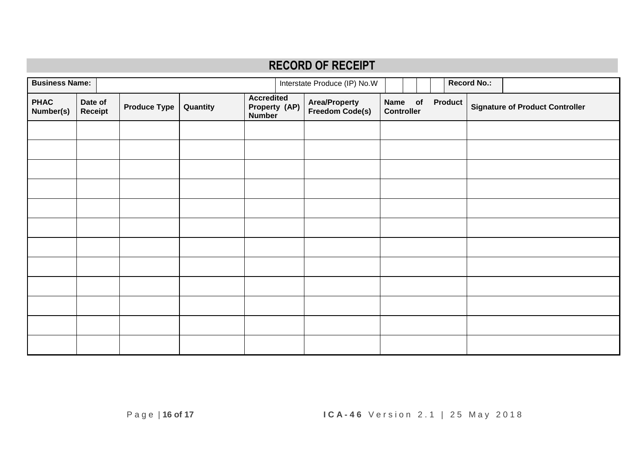<span id="page-15-0"></span>

| <b>RECORD OF RECEIPT</b> |                    |                     |          |                                                     |  |                                         |                                        |  |                |                                        |                    |  |
|--------------------------|--------------------|---------------------|----------|-----------------------------------------------------|--|-----------------------------------------|----------------------------------------|--|----------------|----------------------------------------|--------------------|--|
| <b>Business Name:</b>    |                    |                     |          |                                                     |  | Interstate Produce (IP) No.W            |                                        |  |                |                                        | <b>Record No.:</b> |  |
| <b>PHAC</b><br>Number(s) | Date of<br>Receipt | <b>Produce Type</b> | Quantity | <b>Accredited</b><br>Property (AP)<br><b>Number</b> |  | <b>Area/Property</b><br>Freedom Code(s) | <b>Name</b><br>of<br><b>Controller</b> |  | <b>Product</b> | <b>Signature of Product Controller</b> |                    |  |
|                          |                    |                     |          |                                                     |  |                                         |                                        |  |                |                                        |                    |  |
|                          |                    |                     |          |                                                     |  |                                         |                                        |  |                |                                        |                    |  |
|                          |                    |                     |          |                                                     |  |                                         |                                        |  |                |                                        |                    |  |
|                          |                    |                     |          |                                                     |  |                                         |                                        |  |                |                                        |                    |  |
|                          |                    |                     |          |                                                     |  |                                         |                                        |  |                |                                        |                    |  |
|                          |                    |                     |          |                                                     |  |                                         |                                        |  |                |                                        |                    |  |
|                          |                    |                     |          |                                                     |  |                                         |                                        |  |                |                                        |                    |  |
|                          |                    |                     |          |                                                     |  |                                         |                                        |  |                |                                        |                    |  |
|                          |                    |                     |          |                                                     |  |                                         |                                        |  |                |                                        |                    |  |
|                          |                    |                     |          |                                                     |  |                                         |                                        |  |                |                                        |                    |  |
|                          |                    |                     |          |                                                     |  |                                         |                                        |  |                |                                        |                    |  |
|                          |                    |                     |          |                                                     |  |                                         |                                        |  |                |                                        |                    |  |